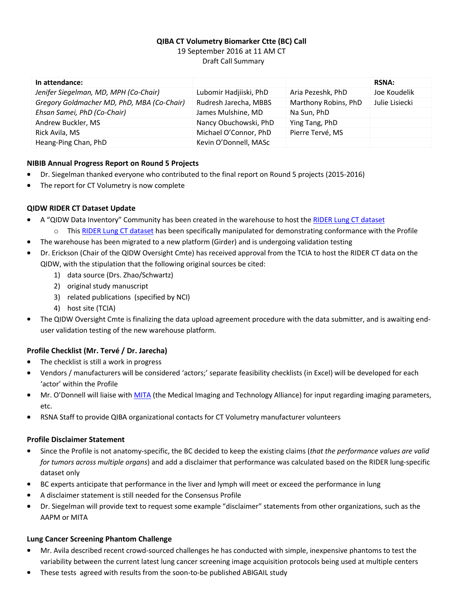# **QIBA CT Volumetry Biomarker Ctte (BC) Call** 19 September 2016 at 11 AM CT Draft Call Summary

| In attendance:                             |                        |                      | <b>RSNA:</b>   |
|--------------------------------------------|------------------------|----------------------|----------------|
| Jenifer Siegelman, MD, MPH (Co-Chair)      | Lubomir Hadjiiski, PhD | Aria Pezeshk, PhD    | Joe Koudelik   |
| Gregory Goldmacher MD, PhD, MBA (Co-Chair) | Rudresh Jarecha, MBBS  | Marthony Robins, PhD | Julie Lisiecki |
| Ehsan Samei, PhD (Co-Chair)                | James Mulshine, MD     | Na Sun, PhD          |                |
| Andrew Buckler, MS                         | Nancy Obuchowski, PhD  | Ying Tang, PhD       |                |
| Rick Avila, MS                             | Michael O'Connor, PhD  | Pierre Tervé, MS     |                |
| Heang-Ping Chan, PhD                       | Kevin O'Donnell, MASc  |                      |                |

#### **NIBIB Annual Progress Report on Round 5 Projects**

- Dr. Siegelman thanked everyone who contributed to the final report on Round 5 projects (2015-2016)
- $\bullet$ The report for CT Volumetry is now complete

## **QIDW RIDER CT Dataset Update**

- A "QIDW Data Inventory" Community has been created in the warehouse to host th[e RIDER Lung CT dataset](https://wiki.cancerimagingarchive.net/display/Public/RIDER+Lung+CT)
	- o Thi[s RIDER Lung CT dataset](https://wiki.cancerimagingarchive.net/display/Public/RIDER+Lung+CT) has been specifically manipulated for demonstrating conformance with the Profile
- The warehouse has been migrated to a new platform (Girder) and is undergoing validation testing  $\blacksquare$
- Dr. Erickson (Chair of the QIDW Oversight Cmte) has received approval from the TCIA to host the RIDER CT data on the QIDW, with the stipulation that the following original sources be cited:
	- 1) data source (Drs. Zhao/Schwartz)
	- 2) original study manuscript
	- 3) related publications (specified by NCI)
	- 4) host site (TCIA)
- The QIDW Oversight Cmte is finalizing the data upload agreement procedure with the data submitter, and is awaiting enduser validation testing of the new warehouse platform.

## **Profile Checklist (Mr. Tervé / Dr. Jarecha)**

- The checklist is still a work in progress  $\bullet$
- Vendors / manufacturers will be considered 'actors;' separate feasibility checklists (in Excel) will be developed for each 'actor' within the Profile
- Mr. O'Donnell will liaise with [MITA](http://www.medicalimaging.org/) (the Medical Imaging and Technology Alliance) for input regarding imaging parameters, etc.
- RSNA Staff to provide QIBA organizational contacts for CT Volumetry manufacturer volunteers

#### **Profile Disclaimer Statement**

- $\blacksquare$ Since the Profile is not anatomy-specific, the BC decided to keep the existing claims (*that the performance values are valid for tumors across multiple organs*) and add a disclaimer that performance was calculated based on the RIDER lung-specific dataset only
- BC experts anticipate that performance in the liver and lymph will meet or exceed the performance in lung  $\bullet$
- A disclaimer statement is still needed for the Consensus Profile
- Dr. Siegelman will provide text to request some example "disclaimer" statements from other organizations, such as the AAPM or MITA

#### **Lung Cancer Screening Phantom Challenge**

- Mr. Avila described recent crowd-sourced challenges he has conducted with simple, inexpensive phantoms to test the variability between the current latest lung cancer screening image acquisition protocols being used at multiple centers
- These tests agreed with results from the soon-to-be published ABIGAIL study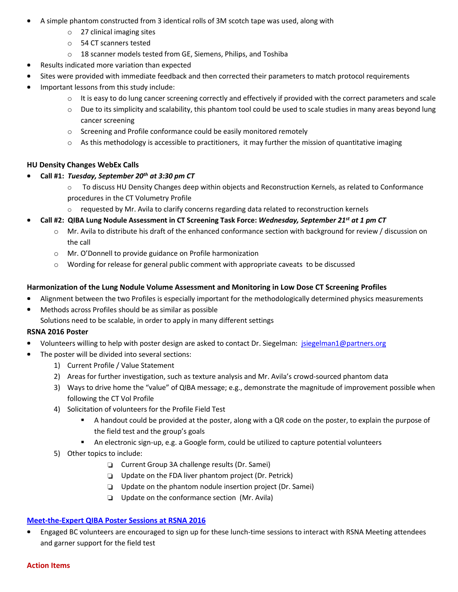- A simple phantom constructed from 3 identical rolls of 3M scotch tape was used, along with  $\bullet$ 
	- o 27 clinical imaging sites
	- o 54 CT scanners tested
	- o 18 scanner models tested from GE, Siemens, Philips, and Toshiba
- Results indicated more variation than expected
- Sites were provided with immediate feedback and then corrected their parameters to match protocol requirements
- Important lessons from this study include:  $\bullet$ 
	- $\circ$  It is easy to do lung cancer screening correctly and effectively if provided with the correct parameters and scale
	- $\circ$  Due to its simplicity and scalability, this phantom tool could be used to scale studies in many areas beyond lung cancer screening
	- o Screening and Profile conformance could be easily monitored remotely
	- $\circ$  As this methodology is accessible to practitioners, it may further the mission of quantitative imaging

#### **HU Density Changes WebEx Calls**

- **Call #1:** *Tuesday, September 20th at 3:30 pm CT*
	- $\circ$  To discuss HU Density Changes deep within objects and Reconstruction Kernels, as related to Conformance procedures in the CT Volumetry Profile
	- $\circ$  requested by Mr. Avila to clarify concerns regarding data related to reconstruction kernels

## **Call #2: QIBA Lung Nodule Assessment in CT Screening Task Force:** *Wednesday, September 21st at 1 pm CT*

- o Mr. Avila to distribute his draft of the enhanced conformance section with background for review / discussion on the call
- o Mr. O'Donnell to provide guidance on Profile harmonization
- $\circ$  Wording for release for general public comment with appropriate caveats to be discussed

## **Harmonization of the Lung Nodule Volume Assessment and Monitoring in Low Dose CT Screening Profiles**

- $\bullet$ Alignment between the two Profiles is especially important for the methodologically determined physics measurements
- Methods across Profiles should be as similar as possible

Solutions need to be scalable, in order to apply in many different settings

#### **RSNA 2016 Poster**

- Volunteers willing to help with poster design are asked to contact Dr. Siegelman: [jsiegelman1@partners.org](mailto:jsiegelman1@partners.org)
- The poster will be divided into several sections:
	- 1) Current Profile / Value Statement
	- 2) Areas for further investigation, such as texture analysis and Mr. Avila's crowd-sourced phantom data
	- 3) Ways to drive home the "value" of QIBA message; e.g., demonstrate the magnitude of improvement possible when following the CT Vol Profile
	- 4) Solicitation of volunteers for the Profile Field Test
		- A handout could be provided at the poster, along with a QR code on the poster, to explain the purpose of the field test and the group's goals
		- An electronic sign-up, e.g. a Google form, could be utilized to capture potential volunteers
	- 5) Other topics to include:
		- Current Group 3A challenge results (Dr. Samei)
		- $\Box$  Update on the FDA liver phantom project (Dr. Petrick)
		- $\Box$  Update on the phantom nodule insertion project (Dr. Samei)
		- **Update on the conformance section (Mr. Avila)**

## **[Meet-the-Expert QIBA Poster Sessions at](https://goo.gl/DMZbNI) RSNA 2016**

Engaged BC volunteers are encouraged to sign up for these lunch-time sessions to interact with RSNA Meeting attendees ٠ and garner support for the field test